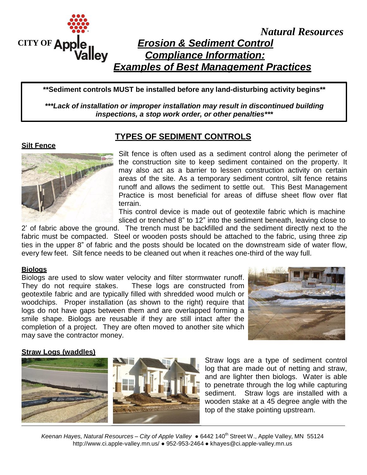

*Natural Resources*

# *Erosion & Sediment Control Compliance Information: Examples of Best Management Practices*

**\*\*Sediment controls MUST be installed before any land-disturbing activity begins\*\***

*\*\*\*Lack of installation or improper installation may result in discontinued building inspections, a stop work order, or other penalties\*\*\**

#### **Silt Fence**



# **TYPES OF SEDIMENT CONTROLS**

Silt fence is often used as a sediment control along the perimeter of the construction site to keep sediment contained on the property. It may also act as a barrier to lessen construction activity on certain areas of the site. As a temporary sediment control, silt fence retains runoff and allows the sediment to settle out. This Best Management Practice is most beneficial for areas of diffuse sheet flow over flat terrain.

This control device is made out of geotextile fabric which is machine sliced or trenched 8" to 12" into the sediment beneath, leaving close to

2' of fabric above the ground. The trench must be backfilled and the sediment directly next to the fabric must be compacted. Steel or wooden posts should be attached to the fabric, using three zip ties in the upper 8" of fabric and the posts should be located on the downstream side of water flow, every few feet. Silt fence needs to be cleaned out when it reaches one-third of the way full.

#### **Biologs**

Biologs are used to slow water velocity and filter stormwater runoff. They do not require stakes. These logs are constructed from geotextile fabric and are typically filled with shredded wood mulch or woodchips. Proper installation (as shown to the right) require that logs do not have gaps between them and are overlapped forming a smile shape. Biologs are reusable if they are still intact after the completion of a project. They are often moved to another site which may save the contractor money.



#### **Straw Logs (waddles)**



Straw logs are a type of sediment control log that are made out of netting and straw, and are lighter then biologs. Water is able to penetrate through the log while capturing sediment. Straw logs are installed with a wooden stake at a 45 degree angle with the top of the stake pointing upstream.

*Keenan Hayes, Natural Resources – City of Apple Valley* ● 6442 140 th Street W., Apple Valley, MN 5512[4](http://www.ci.apple-valley.mn.us/) <http://www.ci.apple-valley.mn.us/> ● 952-953-2464 ● khayes@ci.apple-valley.mn.us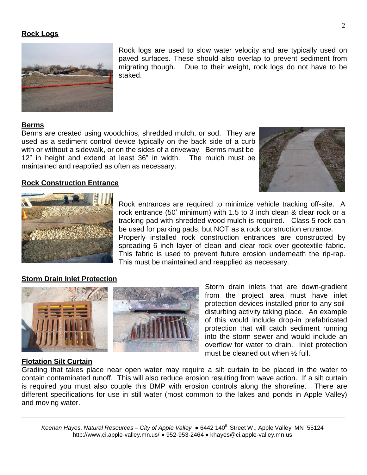#### **Rock Logs**



Rock logs are used to slow water velocity and are typically used on paved surfaces. These should also overlap to prevent sediment from migrating though. Due to their weight, rock logs do not have to be staked.

#### **Berms**

Berms are created using woodchips, shredded mulch, or sod. They are used as a sediment control device typically on the back side of a curb with or without a sidewalk, or on the sides of a driveway. Berms must be 12" in height and extend at least 36" in width. The mulch must be maintained and reapplied as often as necessary.





**Rock Construction Entrance**

Rock entrances are required to minimize vehicle tracking off-site. A rock entrance (50' minimum) with 1.5 to 3 inch clean & clear rock or a tracking pad with shredded wood mulch is required. Class 5 rock can be used for parking pads, but NOT as a rock construction entrance. Properly installed rock construction entrances are constructed by spreading 6 inch layer of clean and clear rock over geotextile fabric. This fabric is used to prevent future erosion underneath the rip-rap. This must be maintained and reapplied as necessary.

#### **Storm Drain Inlet Protection**



Storm drain inlets that are down-gradient from the project area must have inlet protection devices installed prior to any soildisturbing activity taking place. An example of this would include drop-in prefabricated protection that will catch sediment running into the storm sewer and would include an overflow for water to drain. Inlet protection must be cleaned out when ½ full.

#### **Flotation Silt Curtain**

Grading that takes place near open water may require a silt curtain to be placed in the water to contain contaminated runoff. This will also reduce erosion resulting from wave action. If a silt curtain is required you must also couple this BMP with erosion controls along the shoreline. There are different specifications for use in still water (most common to the lakes and ponds in Apple Valley) and moving water.

*Keenan Hayes, Natural Resources – City of Apple Valley* ● 6442 140 th Street W., Apple Valley, MN 5512[4](http://www.ci.apple-valley.mn.us/) <http://www.ci.apple-valley.mn.us/> ● 952-953-2464 ● khayes@ci.apple-valley.mn.us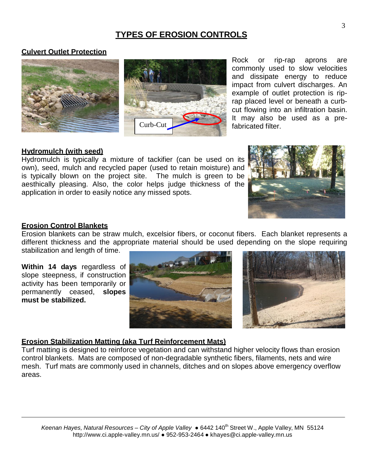# **TYPES OF EROSION CONTROLS**

#### **Culvert Outlet Protection**





Rock or rip-rap aprons are commonly used to slow velocities and dissipate energy to reduce impact from culvert discharges. An example of outlet protection is riprap placed level or beneath a curbcut flowing into an infiltration basin. It may also be used as a prefabricated filter.

#### **Hydromulch (with seed)**

Hydromulch is typically a mixture of tackifier (can be used on its own), seed, mulch and recycled paper (used to retain moisture) and is typically blown on the project site. The mulch is green to be aesthically pleasing. Also, the color helps judge thickness of the application in order to easily notice any missed spots.



#### **Erosion Control Blankets**

Erosion blankets can be straw mulch, excelsior fibers, or coconut fibers. Each blanket represents a different thickness and the appropriate material should be used depending on the slope requiring stabilization and length of time.

**Within 14 days** regardless of slope steepness, if construction activity has been temporarily or permanently ceased, **slopes must be stabilized.**





#### **Erosion Stabilization Matting (aka Turf Reinforcement Mats)**

Turf matting is designed to reinforce vegetation and can withstand higher velocity flows than erosion control blankets. Mats are composed of non-degradable synthetic fibers, filaments, nets and wire mesh. Turf mats are commonly used in channels, ditches and on slopes above emergency overflow areas.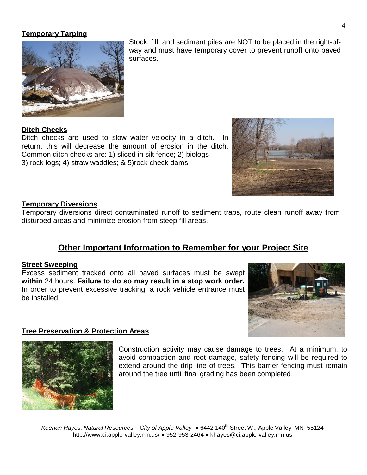#### **Temporary Tarping**



Stock, fill, and sediment piles are NOT to be placed in the right-ofway and must have temporary cover to prevent runoff onto paved surfaces.

#### **Ditch Checks**

Ditch checks are used to slow water velocity in a ditch. In return, this will decrease the amount of erosion in the ditch. Common ditch checks are: 1) sliced in silt fence; 2) biologs 3) rock logs; 4) straw waddles; & 5)rock check dams



#### **Temporary Diversions**

Temporary diversions direct contaminated runoff to sediment traps, route clean runoff away from disturbed areas and minimize erosion from steep fill areas.

# **Other Important Information to Remember for your Project Site**

#### **Street Sweeping**

Excess sediment tracked onto all paved surfaces must be swept **within** 24 hours. **Failure to do so may result in a stop work order.**  In order to prevent excessive tracking, a rock vehicle entrance must be installed.



#### **Tree Preservation & Protection Areas**



Construction activity may cause damage to trees. At a minimum, to avoid compaction and root damage, safety fencing will be required to extend around the drip line of trees. This barrier fencing must remain around the tree until final grading has been completed.

*Keenan Hayes, Natural Resources – City of Apple Valley* ● 6442 140 th Street W., Apple Valley, MN 5512[4](http://www.ci.apple-valley.mn.us/) <http://www.ci.apple-valley.mn.us/> ● 952-953-2464 ● khayes@ci.apple-valley.mn.us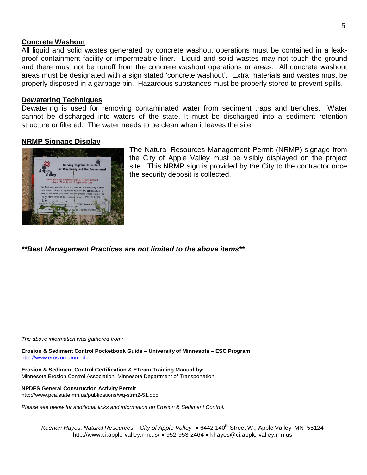#### **Concrete Washout**

All liquid and solid wastes generated by concrete washout operations must be contained in a leakproof containment facility or impermeable liner. Liquid and solid wastes may not touch the ground and there must not be runoff from the concrete washout operations or areas. All concrete washout areas must be designated with a sign stated 'concrete washout'. Extra materials and wastes must be properly disposed in a garbage bin. Hazardous substances must be properly stored to prevent spills.

#### **Dewatering Techniques**

Dewatering is used for removing contaminated water from sediment traps and trenches. Water cannot be discharged into waters of the state. It must be discharged into a sediment retention structure or filtered. The water needs to be clean when it leaves the site.

#### **NRMP Signage Display**



The Natural Resources Management Permit (NRMP) signage from the City of Apple Valley must be visibly displayed on the project site. This NRMP sign is provided by the City to the contractor once the security deposit is collected.

*\*\*Best Management Practices are not limited to the above items\*\**

*The above information was gathered from:*

**Erosion & Sediment Control Pocketbook Guide – University of Minnesota – ESC Program** [http://www.erosion.umn.edu](http://www.erosion.umn.edu/)

**Erosion & Sediment Control Certification & ETeam Training Manual by:** Minnesota Erosion Control Association, Minnesota Department of Transportation

**NPDES General Construction Activity Permit** <http://www.pca.state.mn.us/publications/wq-strm2-51.doc>

*Please see below for additional links and information on Erosion & Sediment Control.*

*Keenan Hayes, Natural Resources – City of Apple Valley* ● 6442 140 th Street W., Apple Valley, MN 5512[4](http://www.ci.apple-valley.mn.us/) <http://www.ci.apple-valley.mn.us/> ● 952-953-2464 ● khayes@ci.apple-valley.mn.us